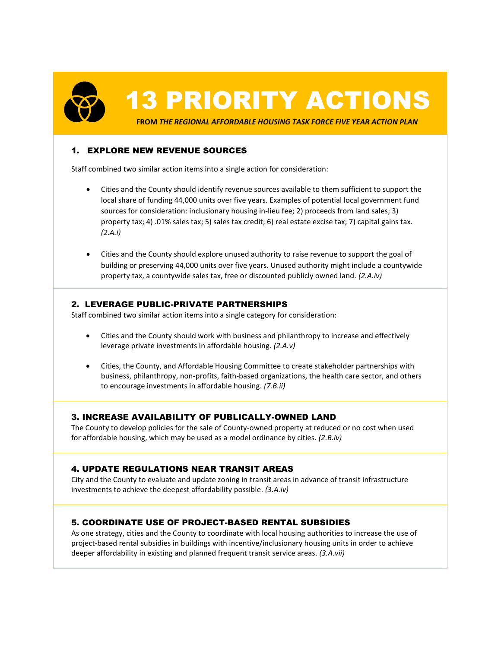13 PRIORITY ACTIONS

**FROM** *THE REGIONAL AFFORDABLE HOUSING TASK FORCE FIVE YEAR ACTION PLAN*

# 1. EXPLORE NEW REVENUE SOURCES

Staff combined two similar action items into a single action for consideration:

- Cities and the County should identify revenue sources available to them sufficient to support the local share of funding 44,000 units over five years. Examples of potential local government fund sources for consideration: inclusionary housing in-lieu fee; 2) proceeds from land sales; 3) property tax; 4) .01% sales tax; 5) sales tax credit; 6) real estate excise tax; 7) capital gains tax. *(2.A.i)*
- Cities and the County should explore unused authority to raise revenue to support the goal of building or preserving 44,000 units over five years. Unused authority might include a countywide property tax, a countywide sales tax, free or discounted publicly owned land. *(2.A.iv)*

# 2. LEVERAGE PUBLIC-PRIVATE PARTNERSHIPS

Staff combined two similar action items into a single category for consideration:

- Cities and the County should work with business and philanthropy to increase and effectively leverage private investments in affordable housing. *(2.A.v)*
- Cities, the County, and Affordable Housing Committee to create stakeholder partnerships with business, philanthropy, non-profits, faith-based organizations, the health care sector, and others to encourage investments in affordable housing. *(7.B.ii)*

# 3. INCREASE AVAILABILITY OF PUBLICALLY-OWNED LAND

The County to develop policies for the sale of County-owned property at reduced or no cost when used for affordable housing, which may be used as a model ordinance by cities. *(2.B.iv)*

# 4. UPDATE REGULATIONS NEAR TRANSIT AREAS

City and the County to evaluate and update zoning in transit areas in advance of transit infrastructure investments to achieve the deepest affordability possible. *(3.A.iv)*

# 5. COORDINATE USE OF PROJECT-BASED RENTAL SUBSIDIES

As one strategy, cities and the County to coordinate with local housing authorities to increase the use of project-based rental subsidies in buildings with incentive/inclusionary housing units in order to achieve deeper affordability in existing and planned frequent transit service areas. *(3.A.vii)*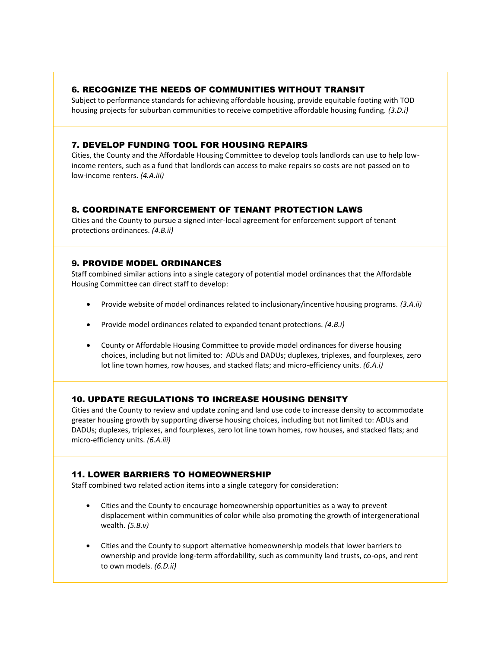#### 6. RECOGNIZE THE NEEDS OF COMMUNITIES WITHOUT TRANSIT

Subject to performance standards for achieving affordable housing, provide equitable footing with TOD housing projects for suburban communities to receive competitive affordable housing funding. *(3.D.i)*

#### 7. DEVELOP FUNDING TOOL FOR HOUSING REPAIRS

Cities, the County and the Affordable Housing Committee to develop tools landlords can use to help lowincome renters, such as a fund that landlords can access to make repairs so costs are not passed on to low-income renters. *(4.A.iii)*

# 8. COORDINATE ENFORCEMENT OF TENANT PROTECTION LAWS

Cities and the County to pursue a signed inter-local agreement for enforcement support of tenant protections ordinances. *(4.B.ii)*

#### 9. PROVIDE MODEL ORDINANCES

Staff combined similar actions into a single category of potential model ordinances that the Affordable Housing Committee can direct staff to develop:

- Provide website of model ordinances related to inclusionary/incentive housing programs. *(3.A.ii)*
- Provide model ordinances related to expanded tenant protections. *(4.B.i)*
- County or Affordable Housing Committee to provide model ordinances for diverse housing choices, including but not limited to: ADUs and DADUs; duplexes, triplexes, and fourplexes, zero lot line town homes, row houses, and stacked flats; and micro-efficiency units. *(6.A.i)*

# 10. UPDATE REGULATIONS TO INCREASE HOUSING DENSITY

Cities and the County to review and update zoning and land use code to increase density to accommodate greater housing growth by supporting diverse housing choices, including but not limited to: ADUs and DADUs; duplexes, triplexes, and fourplexes, zero lot line town homes, row houses, and stacked flats; and micro-efficiency units. *(6.A.iii)*

# 11. LOWER BARRIERS TO HOMEOWNERSHIP

Staff combined two related action items into a single category for consideration:

- Cities and the County to encourage homeownership opportunities as a way to prevent displacement within communities of color while also promoting the growth of intergenerational wealth. *(5.B.v)*
- Cities and the County to support alternative homeownership models that lower barriers to ownership and provide long-term affordability, such as community land trusts, co-ops, and rent to own models. *(6.D.ii)*